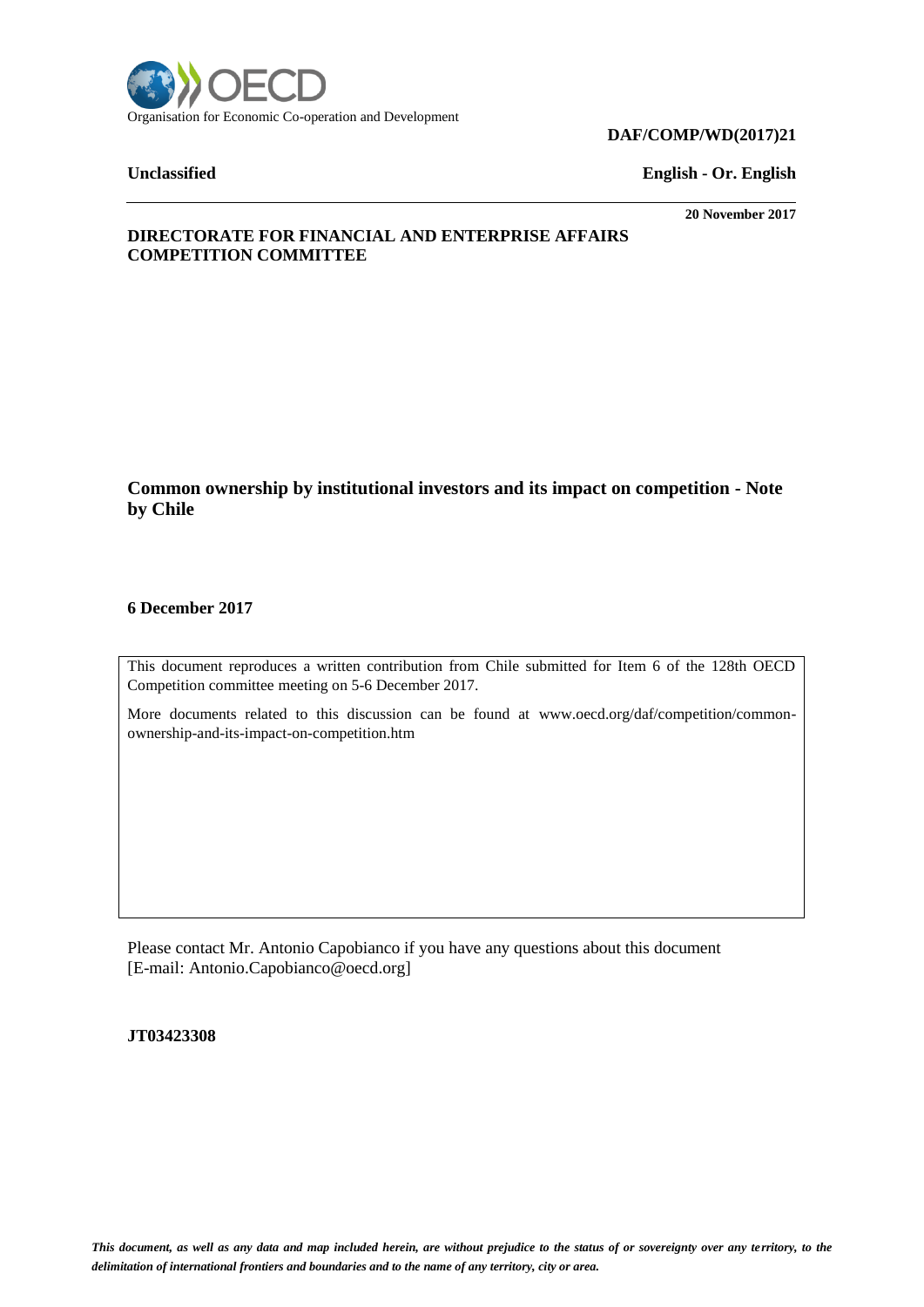

### **DAF/COMP/WD(2017)21**

**Unclassified English - Or. English**

**20 November 2017**

# **DIRECTORATE FOR FINANCIAL AND ENTERPRISE AFFAIRS COMPETITION COMMITTEE**

**Common ownership by institutional investors and its impact on competition - Note by Chile**

# **6 December 2017**

This document reproduces a written contribution from Chile submitted for Item 6 of the 128th OECD Competition committee meeting on 5-6 December 2017.

More documents related to this discussion can be found at www.oecd.org/daf/competition/commonownership-and-its-impact-on-competition.htm

Please contact Mr. Antonio Capobianco if you have any questions about this document [E-mail: Antonio.Capobianco@oecd.org]

**JT03423308**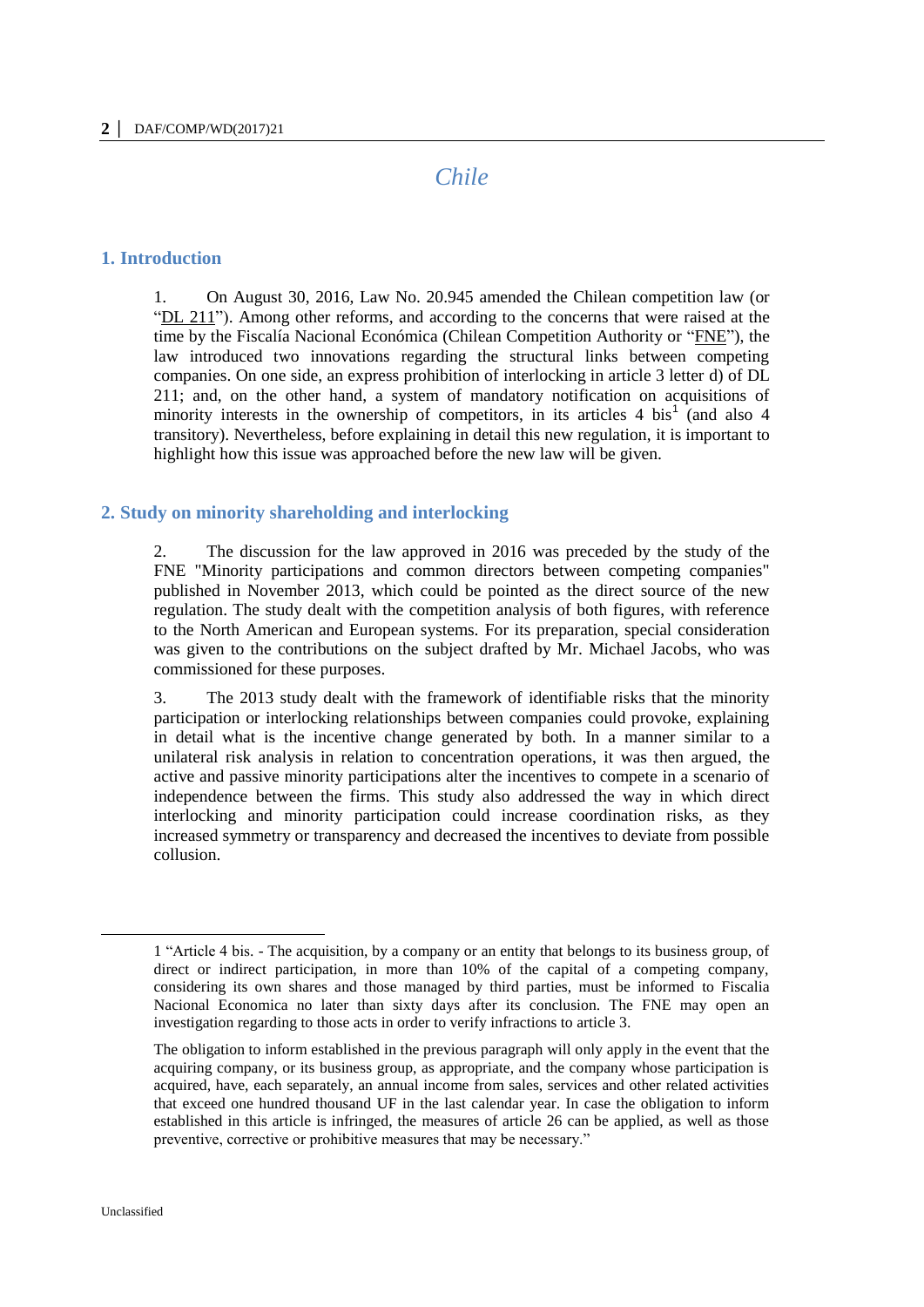# *Chile*

#### **1. Introduction**

1. On August 30, 2016, Law No. 20.945 amended the Chilean competition law (or "DL 211"). Among other reforms, and according to the concerns that were raised at the time by the Fiscalía Nacional Económica (Chilean Competition Authority or "FNE"), the law introduced two innovations regarding the structural links between competing companies. On one side, an express prohibition of interlocking in article 3 letter d) of DL 211; and, on the other hand, a system of mandatory notification on acquisitions of minority interests in the ownership of competitors, in its articles  $4 \text{ bis}^1$  (and also  $4$ transitory). Nevertheless, before explaining in detail this new regulation, it is important to highlight how this issue was approached before the new law will be given.

#### **2. Study on minority shareholding and interlocking**

2. The discussion for the law approved in 2016 was preceded by the study of the FNE "Minority participations and common directors between competing companies" published in November 2013, which could be pointed as the direct source of the new regulation. The study dealt with the competition analysis of both figures, with reference to the North American and European systems. For its preparation, special consideration was given to the contributions on the subject drafted by Mr. Michael Jacobs, who was commissioned for these purposes.

3. The 2013 study dealt with the framework of identifiable risks that the minority participation or interlocking relationships between companies could provoke, explaining in detail what is the incentive change generated by both. In a manner similar to a unilateral risk analysis in relation to concentration operations, it was then argued, the active and passive minority participations alter the incentives to compete in a scenario of independence between the firms. This study also addressed the way in which direct interlocking and minority participation could increase coordination risks, as they increased symmetry or transparency and decreased the incentives to deviate from possible collusion.

<sup>1</sup> "Article 4 bis. - The acquisition, by a company or an entity that belongs to its business group, of direct or indirect participation, in more than 10% of the capital of a competing company, considering its own shares and those managed by third parties, must be informed to Fiscalia Nacional Economica no later than sixty days after its conclusion. The FNE may open an investigation regarding to those acts in order to verify infractions to article 3.

The obligation to inform established in the previous paragraph will only apply in the event that the acquiring company, or its business group, as appropriate, and the company whose participation is acquired, have, each separately, an annual income from sales, services and other related activities that exceed one hundred thousand UF in the last calendar year. In case the obligation to inform established in this article is infringed, the measures of article 26 can be applied, as well as those preventive, corrective or prohibitive measures that may be necessary."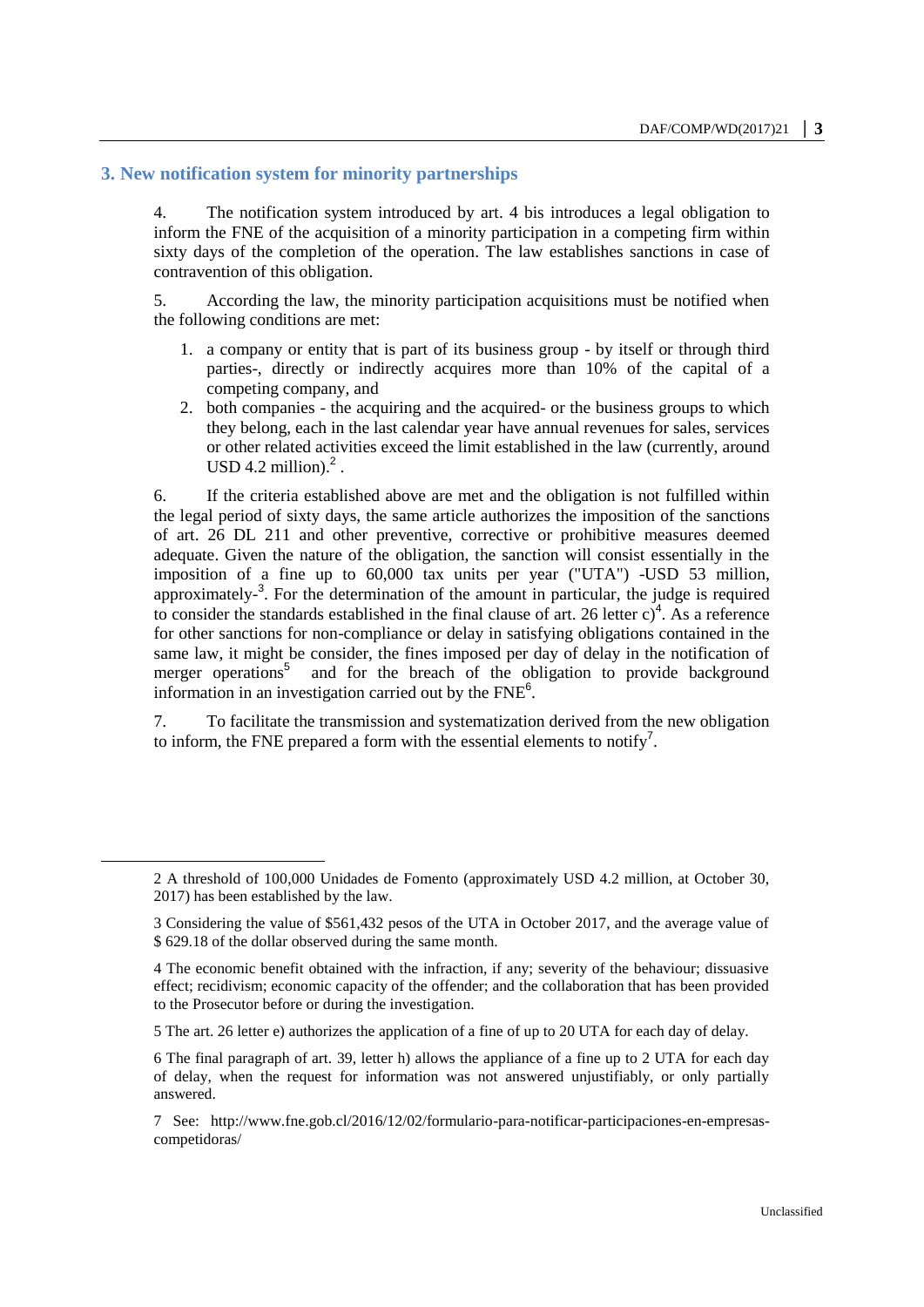# **3. New notification system for minority partnerships**

 $\overline{a}$ 

4. The notification system introduced by art. 4 bis introduces a legal obligation to inform the FNE of the acquisition of a minority participation in a competing firm within sixty days of the completion of the operation. The law establishes sanctions in case of contravention of this obligation.

5. According the law, the minority participation acquisitions must be notified when the following conditions are met:

- 1. a company or entity that is part of its business group by itself or through third parties-, directly or indirectly acquires more than 10% of the capital of a competing company, and
- 2. both companies the acquiring and the acquired- or the business groups to which they belong, each in the last calendar year have annual revenues for sales, services or other related activities exceed the limit established in the law (currently, around USD 4.2 million). $^2$ .

6. If the criteria established above are met and the obligation is not fulfilled within the legal period of sixty days, the same article authorizes the imposition of the sanctions of art. 26 DL 211 and other preventive, corrective or prohibitive measures deemed adequate. Given the nature of the obligation, the sanction will consist essentially in the imposition of a fine up to 60,000 tax units per year ("UTA") -USD 53 million, approximately<sup>-3</sup>. For the determination of the amount in particular, the judge is required to consider the standards established in the final clause of art. 26 letter  $c)^4$ . As a reference for other sanctions for non-compliance or delay in satisfying obligations contained in the same law, it might be consider, the fines imposed per day of delay in the notification of merger operations<sup>5</sup> and for the breach of the obligation to provide background information in an investigation carried out by the  $FNE<sup>6</sup>$ .

7. To facilitate the transmission and systematization derived from the new obligation to inform, the FNE prepared a form with the essential elements to notify<sup>7</sup>.

<sup>2</sup> A threshold of 100,000 Unidades de Fomento (approximately USD 4.2 million, at October 30, 2017) has been established by the law.

<sup>3</sup> Considering the value of \$561,432 pesos of the UTA in October 2017, and the average value of \$ 629.18 of the dollar observed during the same month.

<sup>4</sup> The economic benefit obtained with the infraction, if any; severity of the behaviour; dissuasive effect; recidivism; economic capacity of the offender; and the collaboration that has been provided to the Prosecutor before or during the investigation.

<sup>5</sup> The art. 26 letter e) authorizes the application of a fine of up to 20 UTA for each day of delay.

<sup>6</sup> The final paragraph of art. 39, letter h) allows the appliance of a fine up to 2 UTA for each day of delay, when the request for information was not answered unjustifiably, or only partially answered.

<sup>7</sup> See: [http://www.fne.gob.cl/2016/12/02/formulario-para-notificar-participaciones-en-empresas](http://www.fne.gob.cl/2016/12/02/formulario-para-notificar-participaciones-en-empresas-competidoras/)[competidoras/](http://www.fne.gob.cl/2016/12/02/formulario-para-notificar-participaciones-en-empresas-competidoras/)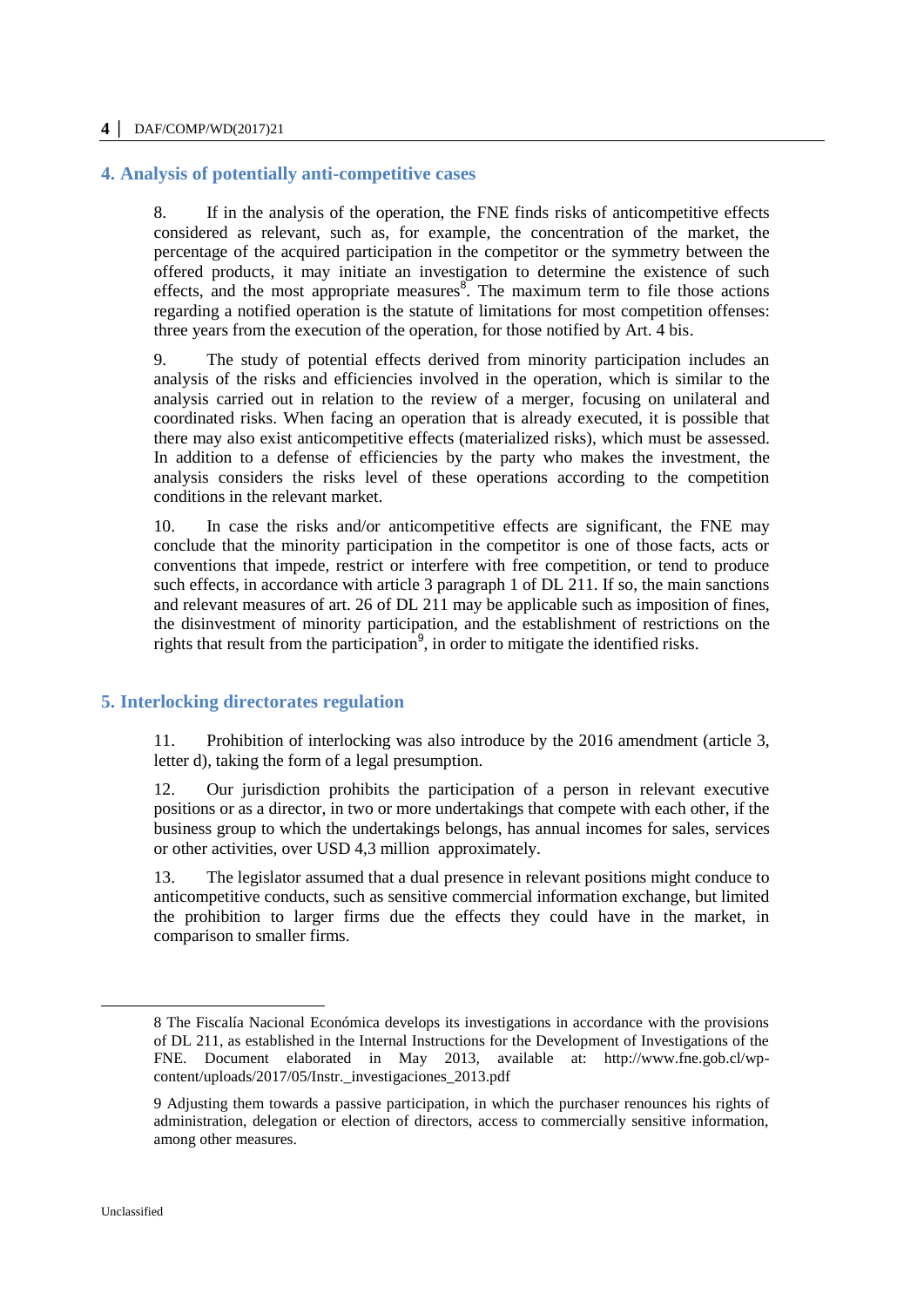#### **4 │** DAF/COMP/WD(2017)21

#### **4. Analysis of potentially anti-competitive cases**

8. If in the analysis of the operation, the FNE finds risks of anticompetitive effects considered as relevant, such as, for example, the concentration of the market, the percentage of the acquired participation in the competitor or the symmetry between the offered products, it may initiate an investigation to determine the existence of such effects, and the most appropriate measures $\delta$ . The maximum term to file those actions regarding a notified operation is the statute of limitations for most competition offenses: three years from the execution of the operation, for those notified by Art. 4 bis.

9. The study of potential effects derived from minority participation includes an analysis of the risks and efficiencies involved in the operation, which is similar to the analysis carried out in relation to the review of a merger, focusing on unilateral and coordinated risks. When facing an operation that is already executed, it is possible that there may also exist anticompetitive effects (materialized risks), which must be assessed. In addition to a defense of efficiencies by the party who makes the investment, the analysis considers the risks level of these operations according to the competition conditions in the relevant market.

10. In case the risks and/or anticompetitive effects are significant, the FNE may conclude that the minority participation in the competitor is one of those facts, acts or conventions that impede, restrict or interfere with free competition, or tend to produce such effects, in accordance with article 3 paragraph 1 of DL 211. If so, the main sanctions and relevant measures of art. 26 of DL 211 may be applicable such as imposition of fines, the disinvestment of minority participation, and the establishment of restrictions on the rights that result from the participation<sup>9</sup>, in order to mitigate the identified risks.

### **5. Interlocking directorates regulation**

11. Prohibition of interlocking was also introduce by the 2016 amendment (article 3, letter d), taking the form of a legal presumption.

12. Our jurisdiction prohibits the participation of a person in relevant executive positions or as a director, in two or more undertakings that compete with each other, if the business group to which the undertakings belongs, has annual incomes for sales, services or other activities, over USD 4,3 million approximately.

13. The legislator assumed that a dual presence in relevant positions might conduce to anticompetitive conducts, such as sensitive commercial information exchange, but limited the prohibition to larger firms due the effects they could have in the market, in comparison to smaller firms.

 $\overline{a}$ 

<sup>8</sup> The Fiscalía Nacional Económica develops its investigations in accordance with the provisions of DL 211, as established in the Internal Instructions for the Development of Investigations of the FNE. Document elaborated in May 2013, available at: http://www.fne.gob.cl/wpcontent/uploads/2017/05/Instr.\_investigaciones\_2013.pdf

<sup>9</sup> Adjusting them towards a passive participation, in which the purchaser renounces his rights of administration, delegation or election of directors, access to commercially sensitive information, among other measures.